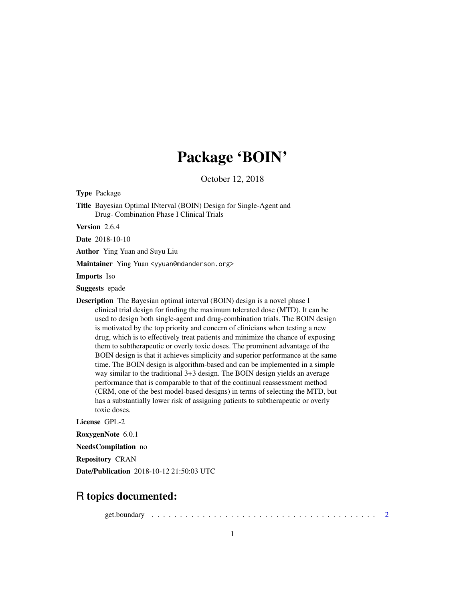# Package 'BOIN'

October 12, 2018

Type Package

Title Bayesian Optimal INterval (BOIN) Design for Single-Agent and Drug- Combination Phase I Clinical Trials

Version 2.6.4

Date 2018-10-10

Author Ying Yuan and Suyu Liu

Maintainer Ying Yuan <yyuan@mdanderson.org>

Imports Iso

Suggests epade

Description The Bayesian optimal interval (BOIN) design is a novel phase I clinical trial design for finding the maximum tolerated dose (MTD). It can be used to design both single-agent and drug-combination trials. The BOIN design is motivated by the top priority and concern of clinicians when testing a new drug, which is to effectively treat patients and minimize the chance of exposing them to subtherapeutic or overly toxic doses. The prominent advantage of the BOIN design is that it achieves simplicity and superior performance at the same time. The BOIN design is algorithm-based and can be implemented in a simple way similar to the traditional 3+3 design. The BOIN design yields an average performance that is comparable to that of the continual reassessment method (CRM, one of the best model-based designs) in terms of selecting the MTD, but has a substantially lower risk of assigning patients to subtherapeutic or overly toxic doses.

License GPL-2

RoxygenNote 6.0.1

NeedsCompilation no

Repository CRAN

Date/Publication 2018-10-12 21:50:03 UTC

# R topics documented:

get.boundary . . . . . . . . . . . . . . . . . . . . . . . . . . . . . . . . . . . . . . . . [2](#page-1-0)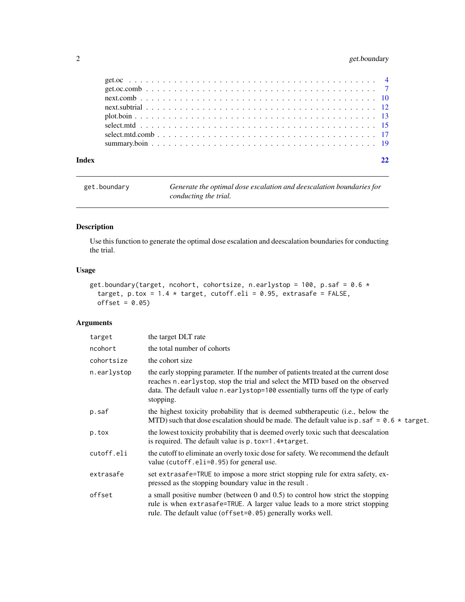# <span id="page-1-0"></span>2 get.boundary

| Index |  |  |  |  |  |  |  |  |  |  |  |  |  |  |  |  |  |  |
|-------|--|--|--|--|--|--|--|--|--|--|--|--|--|--|--|--|--|--|

| get.boundary | Generate the optimal dose escalation and deescalation boundaries for |
|--------------|----------------------------------------------------------------------|
|              | conducting the trial.                                                |

# Description

Use this function to generate the optimal dose escalation and deescalation boundaries for conducting the trial.

# Usage

```
get.boundary(target, ncohort, cohortsize, n.earlystop = 100, p.saf = 0.6 \startarget, p.tox = 1.4 * target, cutoff.eli = 0.95, extrasafe = FALSE,
 offset = 0.05)
```

| target      | the target DLT rate                                                                                                                                                                                                                                                  |
|-------------|----------------------------------------------------------------------------------------------------------------------------------------------------------------------------------------------------------------------------------------------------------------------|
| ncohort     | the total number of cohorts                                                                                                                                                                                                                                          |
| cohortsize  | the cohort size                                                                                                                                                                                                                                                      |
| n.earlystop | the early stopping parameter. If the number of patients treated at the current dose<br>reaches n.earlystop, stop the trial and select the MTD based on the observed<br>data. The default value n. earlystop=100 essentially turns off the type of early<br>stopping. |
| p.saf       | the highest toxicity probability that is deemed subtherapeutic (i.e., below the<br>MTD) such that dose escalation should be made. The default value is p. saf = $0.6 \times$ target.                                                                                 |
| p.tox       | the lowest toxicity probability that is deemed overly toxic such that deescalation<br>is required. The default value is $p.$ to $x=1.4$ * target.                                                                                                                    |
| cutoff.eli  | the cutoff to eliminate an overly toxic dose for safety. We recommend the default<br>value (cutoff.eli= $0.95$ ) for general use.                                                                                                                                    |
| extrasafe   | set extrasafe=TRUE to impose a more strict stopping rule for extra safety, ex-<br>pressed as the stopping boundary value in the result.                                                                                                                              |
| offset      | a small positive number (between $0$ and $0.5$ ) to control how strict the stopping<br>rule is when extrasafe=TRUE. A larger value leads to a more strict stopping<br>rule. The default value (offset=0.05) generally works well.                                    |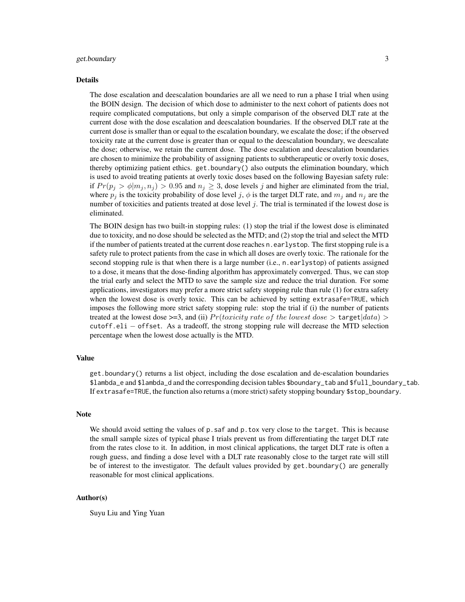#### get.boundary 3

#### Details

The dose escalation and deescalation boundaries are all we need to run a phase I trial when using the BOIN design. The decision of which dose to administer to the next cohort of patients does not require complicated computations, but only a simple comparison of the observed DLT rate at the current dose with the dose escalation and deescalation boundaries. If the observed DLT rate at the current dose is smaller than or equal to the escalation boundary, we escalate the dose; if the observed toxicity rate at the current dose is greater than or equal to the deescalation boundary, we deescalate the dose; otherwise, we retain the current dose. The dose escalation and deescalation boundaries are chosen to minimize the probability of assigning patients to subtherapeutic or overly toxic doses, thereby optimizing patient ethics. get.boundary() also outputs the elimination boundary, which is used to avoid treating patients at overly toxic doses based on the following Bayesian safety rule: if  $Pr(p_i > \phi | m_i, n_j) > 0.95$  and  $n_i \geq 3$ , dose levels j and higher are eliminated from the trial, where  $p_j$  is the toxicity probability of dose level j,  $\phi$  is the target DLT rate, and  $m_j$  and  $n_j$  are the number of toxicities and patients treated at dose level  $j$ . The trial is terminated if the lowest dose is eliminated.

The BOIN design has two built-in stopping rules: (1) stop the trial if the lowest dose is eliminated due to toxicity, and no dose should be selected as the MTD; and (2) stop the trial and select the MTD if the number of patients treated at the current dose reaches n.earlystop. The first stopping rule is a safety rule to protect patients from the case in which all doses are overly toxic. The rationale for the second stopping rule is that when there is a large number (i.e., n.earlystop) of patients assigned to a dose, it means that the dose-finding algorithm has approximately converged. Thus, we can stop the trial early and select the MTD to save the sample size and reduce the trial duration. For some applications, investigators may prefer a more strict safety stopping rule than rule (1) for extra safety when the lowest dose is overly toxic. This can be achieved by setting extrasafe=TRUE, which imposes the following more strict safety stopping rule: stop the trial if (i) the number of patients treated at the lowest dose  $>=3$ , and (ii)  $Pr(toricity \ rate \ of \ the \ lowest \ dose > target | data) >$ cutoff.eli − offset. As a tradeoff, the strong stopping rule will decrease the MTD selection percentage when the lowest dose actually is the MTD.

#### Value

get.boundary() returns a list object, including the dose escalation and de-escalation boundaries \$lambda\_e and \$lambda\_d and the corresponding decision tables \$boundary\_tab and \$full\_boundary\_tab. If extrasafe=TRUE, the function also returns a (more strict) safety stopping boundary \$stop\_boundary.

#### Note

We should avoid setting the values of  $p$ . saf and  $p$ . tox very close to the target. This is because the small sample sizes of typical phase I trials prevent us from differentiating the target DLT rate from the rates close to it. In addition, in most clinical applications, the target DLT rate is often a rough guess, and finding a dose level with a DLT rate reasonably close to the target rate will still be of interest to the investigator. The default values provided by get.boundary() are generally reasonable for most clinical applications.

# Author(s)

Suyu Liu and Ying Yuan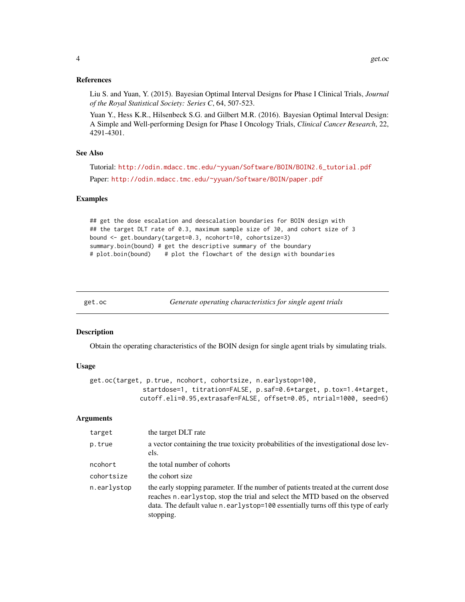#### <span id="page-3-0"></span>References

Liu S. and Yuan, Y. (2015). Bayesian Optimal Interval Designs for Phase I Clinical Trials, *Journal of the Royal Statistical Society: Series C*, 64, 507-523.

Yuan Y., Hess K.R., Hilsenbeck S.G. and Gilbert M.R. (2016). Bayesian Optimal Interval Design: A Simple and Well-performing Design for Phase I Oncology Trials, *Clinical Cancer Research*, 22, 4291-4301.

# See Also

Tutorial: [http://odin.mdacc.tmc.edu/~yyuan/Software/BOIN/BOIN2.6\\_tutorial.pdf](http://odin.mdacc.tmc.edu/~yyuan/Software/BOIN/BOIN2.6_tutorial.pdf) Paper: <http://odin.mdacc.tmc.edu/~yyuan/Software/BOIN/paper.pdf>

#### Examples

```
## get the dose escalation and deescalation boundaries for BOIN design with
## the target DLT rate of 0.3, maximum sample size of 30, and cohort size of 3
bound <- get.boundary(target=0.3, ncohort=10, cohortsize=3)
summary.boin(bound) # get the descriptive summary of the boundary
# plot.boin(bound) # plot the flowchart of the design with boundaries
```
get.oc *Generate operating characteristics for single agent trials*

#### Description

Obtain the operating characteristics of the BOIN design for single agent trials by simulating trials.

#### Usage

```
get.oc(target, p.true, ncohort, cohortsize, n.earlystop=100,
              startdose=1, titration=FALSE, p.saf=0.6*target, p.tox=1.4*target,
             cutoff.eli=0.95,extrasafe=FALSE, offset=0.05, ntrial=1000, seed=6)
```

| target      | the target DLT rate                                                                                                                                                                                                                                                   |
|-------------|-----------------------------------------------------------------------------------------------------------------------------------------------------------------------------------------------------------------------------------------------------------------------|
| p.true      | a vector containing the true toxicity probabilities of the investigational dose lev-<br>els.                                                                                                                                                                          |
| ncohort     | the total number of cohorts                                                                                                                                                                                                                                           |
| cohortsize  | the cohort size                                                                                                                                                                                                                                                       |
| n.earlystop | the early stopping parameter. If the number of patients treated at the current dose<br>reaches n.earlystop, stop the trial and select the MTD based on the observed<br>data. The default value n. earlystop=100 essentially turns off this type of early<br>stopping. |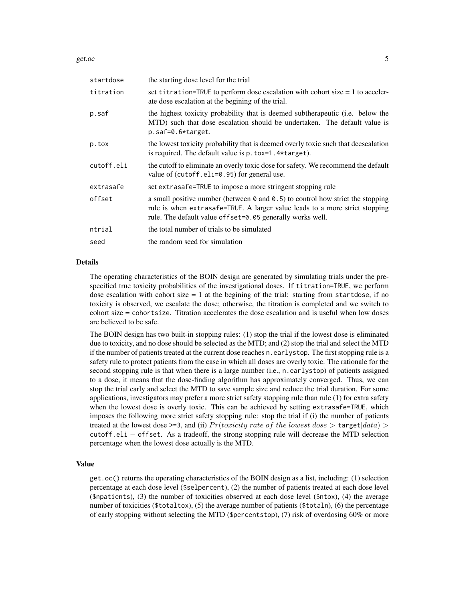get.oc  $\sim$  5

| startdose  | the starting dose level for the trial                                                                                                                                                                                                      |
|------------|--------------------------------------------------------------------------------------------------------------------------------------------------------------------------------------------------------------------------------------------|
| titration  | set titration=TRUE to perform dose escalation with cohort size $= 1$ to acceler-<br>ate dose escalation at the begining of the trial.                                                                                                      |
| p.saf      | the highest toxicity probability that is deemed subtherapeutic (i.e. below the<br>MTD) such that dose escalation should be undertaken. The default value is<br>$p.saf=0.6*target.$                                                         |
| p.tox      | the lowest toxicity probability that is deemed overly toxic such that deescalation<br>is required. The default value is $p.$ to $x=1.4$ * target).                                                                                         |
| cutoff.eli | the cutoff to eliminate an overly toxic dose for safety. We recommend the default<br>value of $(cutoff.eli=0.95)$ for general use.                                                                                                         |
| extrasafe  | set extrasafe=TRUE to impose a more stringent stopping rule                                                                                                                                                                                |
| offset     | a small positive number (between $\theta$ and $\theta$ .5) to control how strict the stopping<br>rule is when extrasafe=TRUE. A larger value leads to a more strict stopping<br>rule. The default value of fset=0.05 generally works well. |
| ntrial     | the total number of trials to be simulated                                                                                                                                                                                                 |
| seed       | the random seed for simulation                                                                                                                                                                                                             |

#### Details

The operating characteristics of the BOIN design are generated by simulating trials under the prespecified true toxicity probabilities of the investigational doses. If titration=TRUE, we perform dose escalation with cohort size  $= 1$  at the begining of the trial: starting from startdose, if no toxicity is observed, we escalate the dose; otherwise, the titration is completed and we switch to cohort size = cohortsize. Titration accelerates the dose escalation and is useful when low doses are believed to be safe.

The BOIN design has two built-in stopping rules: (1) stop the trial if the lowest dose is eliminated due to toxicity, and no dose should be selected as the MTD; and (2) stop the trial and select the MTD if the number of patients treated at the current dose reaches n.earlystop. The first stopping rule is a safety rule to protect patients from the case in which all doses are overly toxic. The rationale for the second stopping rule is that when there is a large number (i.e., n. earlystop) of patients assigned to a dose, it means that the dose-finding algorithm has approximately converged. Thus, we can stop the trial early and select the MTD to save sample size and reduce the trial duration. For some applications, investigators may prefer a more strict safety stopping rule than rule (1) for extra safety when the lowest dose is overly toxic. This can be achieved by setting extrasafe=TRUE, which imposes the following more strict safety stopping rule: stop the trial if (i) the number of patients treated at the lowest dose  $\geq$ =3, and (ii)  $Pr(toricity \ rate \ of \ the \ lowest \ dose > target | data)$ cutoff.eli − offset. As a tradeoff, the strong stopping rule will decrease the MTD selection percentage when the lowest dose actually is the MTD.

# Value

get.oc() returns the operating characteristics of the BOIN design as a list, including: (1) selection percentage at each dose level (\$selpercent), (2) the number of patients treated at each dose level (\$npatients), (3) the number of toxicities observed at each dose level (\$ntox), (4) the average number of toxicities (\$totaltox), (5) the average number of patients (\$totaln), (6) the percentage of early stopping without selecting the MTD (\$percentstop), (7) risk of overdosing 60% or more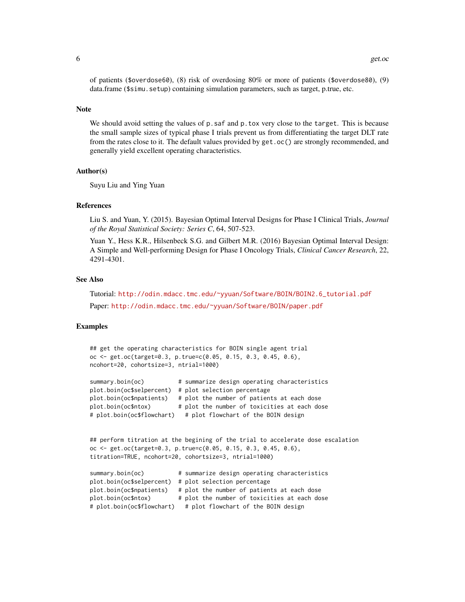of patients (\$overdose60), (8) risk of overdosing 80% or more of patients (\$overdose80), (9) data.frame (\$simu.setup) containing simulation parameters, such as target, p.true, etc.

#### Note

We should avoid setting the values of p.saf and p.tox very close to the target. This is because the small sample sizes of typical phase I trials prevent us from differentiating the target DLT rate from the rates close to it. The default values provided by get.oc() are strongly recommended, and generally yield excellent operating characteristics.

#### Author(s)

Suyu Liu and Ying Yuan

#### References

Liu S. and Yuan, Y. (2015). Bayesian Optimal Interval Designs for Phase I Clinical Trials, *Journal of the Royal Statistical Society: Series C*, 64, 507-523.

Yuan Y., Hess K.R., Hilsenbeck S.G. and Gilbert M.R. (2016) Bayesian Optimal Interval Design: A Simple and Well-performing Design for Phase I Oncology Trials, *Clinical Cancer Research*, 22, 4291-4301.

# See Also

Tutorial: [http://odin.mdacc.tmc.edu/~yyuan/Software/BOIN/BOIN2.6\\_tutorial.pdf](http://odin.mdacc.tmc.edu/~yyuan/Software/BOIN/BOIN2.6_tutorial.pdf) Paper: <http://odin.mdacc.tmc.edu/~yyuan/Software/BOIN/paper.pdf>

# Examples

```
## get the operating characteristics for BOIN single agent trial
oc <- get.oc(target=0.3, p.true=c(0.05, 0.15, 0.3, 0.45, 0.6),
ncohort=20, cohortsize=3, ntrial=1000)
summary.boin(oc) # summarize design operating characteristics
plot.boin(oc$selpercent) # plot selection percentage
plot.boin(oc$npatients) # plot the number of patients at each dose
plot.boin(oc$ntox) # plot the number of toxicities at each dose
# plot.boin(oc$flowchart) # plot flowchart of the BOIN design
## perform titration at the begining of the trial to accelerate dose escalation
oc <- get.oc(target=0.3, p.true=c(0.05, 0.15, 0.3, 0.45, 0.6),
titration=TRUE, ncohort=20, cohortsize=3, ntrial=1000)
summary.boin(oc) # summarize design operating characteristics
plot.boin(oc$selpercent) # plot selection percentage
plot.boin(oc$npatients) # plot the number of patients at each dose
plot.boin(oc$ntox) # plot the number of toxicities at each dose
# plot.boin(oc$flowchart) # plot flowchart of the BOIN design
```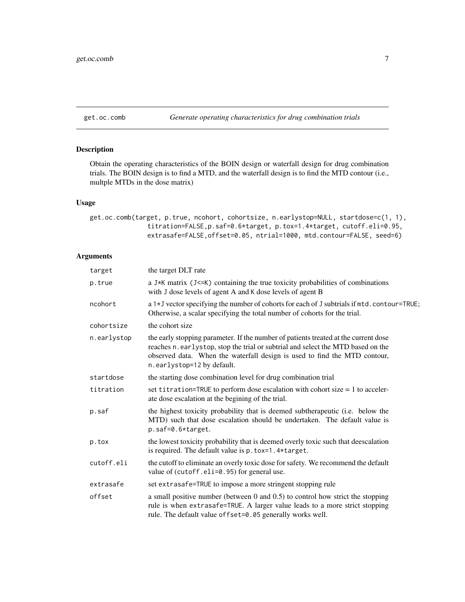<span id="page-6-0"></span>get.oc.comb *Generate operating characteristics for drug combination trials*

# Description

Obtain the operating characteristics of the BOIN design or waterfall design for drug combination trials. The BOIN design is to find a MTD, and the waterfall design is to find the MTD contour (i.e., multple MTDs in the dose matrix)

# Usage

get.oc.comb(target, p.true, ncohort, cohortsize, n.earlystop=NULL, startdose=c(1, 1), titration=FALSE,p.saf=0.6\*target, p.tox=1.4\*target, cutoff.eli=0.95, extrasafe=FALSE,offset=0.05, ntrial=1000, mtd.contour=FALSE, seed=6)

| target      | the target DLT rate                                                                                                                                                                                                                                                               |
|-------------|-----------------------------------------------------------------------------------------------------------------------------------------------------------------------------------------------------------------------------------------------------------------------------------|
| p.true      | a J*K matrix (J<=K) containing the true toxicity probabilities of combinations<br>with J dose levels of agent A and K dose levels of agent B                                                                                                                                      |
| ncohort     | a 1*J vector specifying the number of cohorts for each of J subtrials if mtd.contour=TRUE;<br>Otherwise, a scalar specifying the total number of cohorts for the trial.                                                                                                           |
| cohortsize  | the cohort size                                                                                                                                                                                                                                                                   |
| n.earlystop | the early stopping parameter. If the number of patients treated at the current dose<br>reaches n.earlystop, stop the trial or subtrial and select the MTD based on the<br>observed data. When the waterfall design is used to find the MTD contour,<br>n.earlystop=12 by default. |
| startdose   | the starting dose combination level for drug combination trial                                                                                                                                                                                                                    |
| titration   | set titration=TRUE to perform dose escalation with cohort size = 1 to acceler-<br>ate dose escalation at the begining of the trial.                                                                                                                                               |
| p.saf       | the highest toxicity probability that is deemed subtherapeutic (i.e. below the<br>MTD) such that dose escalation should be undertaken. The default value is<br>$p.saf=0.6*target.$                                                                                                |
| p.tox       | the lowest toxicity probability that is deemed overly toxic such that deescalation<br>is required. The default value is p. tox=1.4*target.                                                                                                                                        |
| cutoff.eli  | the cutoff to eliminate an overly toxic dose for safety. We recommend the default<br>value of (cutoff.eli=0.95) for general use.                                                                                                                                                  |
| extrasafe   | set extrasafe=TRUE to impose a more stringent stopping rule                                                                                                                                                                                                                       |
| offset      | a small positive number (between $0$ and $0.5$ ) to control how strict the stopping<br>rule is when extrasafe=TRUE. A larger value leads to a more strict stopping<br>rule. The default value offset=0.05 generally works well.                                                   |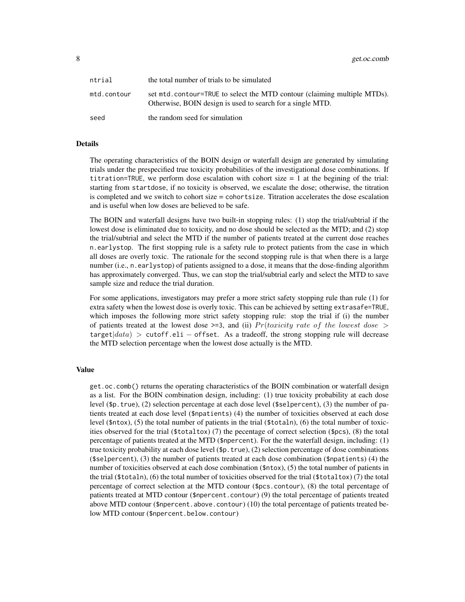8 get.oc.comb

| ntrial      | the total number of trials to be simulated                                                                                             |
|-------------|----------------------------------------------------------------------------------------------------------------------------------------|
| mtd.contour | set mtd.contour=TRUE to select the MTD contour (claiming multiple MTDs).<br>Otherwise, BOIN design is used to search for a single MTD. |
| seed        | the random seed for simulation                                                                                                         |

### Details

The operating characteristics of the BOIN design or waterfall design are generated by simulating trials under the prespecified true toxicity probabilities of the investigational dose combinations. If titration=TRUE, we perform dose escalation with cohort size  $= 1$  at the begining of the trial: starting from startdose, if no toxicity is observed, we escalate the dose; otherwise, the titration is completed and we switch to cohort size = cohortsize. Titration accelerates the dose escalation and is useful when low doses are believed to be safe.

The BOIN and waterfall designs have two built-in stopping rules: (1) stop the trial/subtrial if the lowest dose is eliminated due to toxicity, and no dose should be selected as the MTD; and (2) stop the trial/subtrial and select the MTD if the number of patients treated at the current dose reaches n.earlystop. The first stopping rule is a safety rule to protect patients from the case in which all doses are overly toxic. The rationale for the second stopping rule is that when there is a large number (i.e., n.earlystop) of patients assigned to a dose, it means that the dose-finding algorithm has approximately converged. Thus, we can stop the trial/subtrial early and select the MTD to save sample size and reduce the trial duration.

For some applications, investigators may prefer a more strict safety stopping rule than rule (1) for extra safety when the lowest dose is overly toxic. This can be achieved by setting extrasafe=TRUE, which imposes the following more strict safety stopping rule: stop the trial if (i) the number of patients treated at the lowest dose  $>=$  3, and (ii) Pr(toxicity rate of the lowest dose  $>$ target $|data| >$  cutoff.eli – offset. As a tradeoff, the strong stopping rule will decrease the MTD selection percentage when the lowest dose actually is the MTD.

#### Value

get.oc.comb() returns the operating characteristics of the BOIN combination or waterfall design as a list. For the BOIN combination design, including: (1) true toxicity probability at each dose level (\$p.true), (2) selection percentage at each dose level (\$selpercent), (3) the number of patients treated at each dose level (\$npatients) (4) the number of toxicities observed at each dose level (\$ntox), (5) the total number of patients in the trial (\$totaln), (6) the total number of toxicities observed for the trial (\$totaltox) (7) the pecentage of correct selection (\$pcs), (8) the total percentage of patients treated at the MTD (\$npercent). For the the waterfall design, including: (1) true toxicity probability at each dose level (\$p.true), (2) selection percentage of dose combinations (\$selpercent), (3) the number of patients treated at each dose combination (\$npatients) (4) the number of toxicities observed at each dose combination (\$ntox), (5) the total number of patients in the trial (\$totaln), (6) the total number of toxicities observed for the trial (\$totaltox) (7) the total percentage of correct selection at the MTD contour (\$pcs.contour), (8) the total percentage of patients treated at MTD contour (\$npercent.contour) (9) the total percentage of patients treated above MTD contour (\$npercent.above.contour) (10) the total percentage of patients treated below MTD contour (\$npercent.below.contour)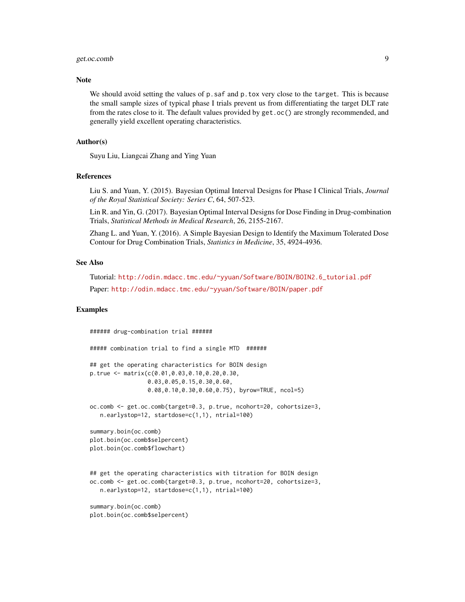# get.oc.comb 9

### Note

We should avoid setting the values of p.saf and p.tox very close to the target. This is because the small sample sizes of typical phase I trials prevent us from differentiating the target DLT rate from the rates close to it. The default values provided by get.oc() are strongly recommended, and generally yield excellent operating characteristics.

# Author(s)

Suyu Liu, Liangcai Zhang and Ying Yuan

#### References

Liu S. and Yuan, Y. (2015). Bayesian Optimal Interval Designs for Phase I Clinical Trials, *Journal of the Royal Statistical Society: Series C*, 64, 507-523.

Lin R. and Yin, G. (2017). Bayesian Optimal Interval Designs for Dose Finding in Drug-combination Trials, *Statistical Methods in Medical Research*, 26, 2155-2167.

Zhang L. and Yuan, Y. (2016). A Simple Bayesian Design to Identify the Maximum Tolerated Dose Contour for Drug Combination Trials, *Statistics in Medicine*, 35, 4924-4936.

# See Also

Tutorial: [http://odin.mdacc.tmc.edu/~yyuan/Software/BOIN/BOIN2.6\\_tutorial.pdf](http://odin.mdacc.tmc.edu/~yyuan/Software/BOIN/BOIN2.6_tutorial.pdf)

Paper: <http://odin.mdacc.tmc.edu/~yyuan/Software/BOIN/paper.pdf>

#### Examples

```
###### drug-combination trial ######
##### combination trial to find a single MTD ######
## get the operating characteristics for BOIN design
p.true <- matrix(c(0.01,0.03,0.10,0.20,0.30,
                 0.03,0.05,0.15,0.30,0.60,
                 0.08,0.10,0.30,0.60,0.75), byrow=TRUE, ncol=5)
oc.comb <- get.oc.comb(target=0.3, p.true, ncohort=20, cohortsize=3,
  n.earlystop=12, startdose=c(1,1), ntrial=100)
summary.boin(oc.comb)
plot.boin(oc.comb$selpercent)
plot.boin(oc.comb$flowchart)
## get the operating characteristics with titration for BOIN design
oc.comb <- get.oc.comb(target=0.3, p.true, ncohort=20, cohortsize=3,
  n.earlystop=12, startdose=c(1,1), ntrial=100)
summary.boin(oc.comb)
plot.boin(oc.comb$selpercent)
```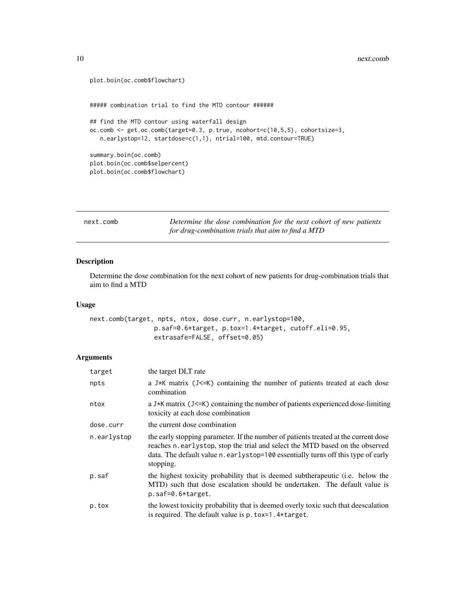```
plot.boin(oc.comb$flowchart)
##### combination trial to find the MTD contour ######
## find the MTD contour using waterfall design
oc.comb <- get.oc.comb(target=0.3, p.true, ncohort=c(10,5,5), cohortsize=3,
  n.earlystop=12, startdose=c(1,1), ntrial=100, mtd.contour=TRUE)
summary.boin(oc.comb)
plot.boin(oc.comb$selpercent)
plot.boin(oc.comb$flowchart)
```

| next.comb | Determine the dose combination for the next cohort of new patients |
|-----------|--------------------------------------------------------------------|
|           | for drug-combination trials that aim to find a MTD                 |

# Description

Determine the dose combination for the next cohort of new patients for drug-combination trials that aim to find a MTD

# Usage

```
next.comb(target, npts, ntox, dose.curr, n.earlystop=100,
                 p.saf=0.6*target, p.tox=1.4*target, cutoff.eli=0.95,
                 extrasafe=FALSE, offset=0.05)
```

| target      | the target DLT rate                                                                                                                                                                                                                                                   |
|-------------|-----------------------------------------------------------------------------------------------------------------------------------------------------------------------------------------------------------------------------------------------------------------------|
| npts        | a J*K matrix (J<=K) containing the number of patients treated at each dose<br>combination                                                                                                                                                                             |
| ntox        | a J*K matrix (J<=K) containing the number of patients experienced dose-limiting<br>toxicity at each dose combination                                                                                                                                                  |
| dose.curr   | the current dose combination                                                                                                                                                                                                                                          |
| n.earlystop | the early stopping parameter. If the number of patients treated at the current dose<br>reaches n earlystop, stop the trial and select the MTD based on the observed<br>data. The default value n. earlystop=100 essentially turns off this type of early<br>stopping. |
| p.saf       | the highest toxicity probability that is deemed subtherapeutic (i.e. below the<br>MTD) such that dose escalation should be undertaken. The default value is<br>$p.saf=0.6*target.$                                                                                    |
| p.tox       | the lowest toxicity probability that is deemed overly toxic such that deescalation<br>is required. The default value is $p.$ to $x=1.4$ * target.                                                                                                                     |

<span id="page-9-0"></span>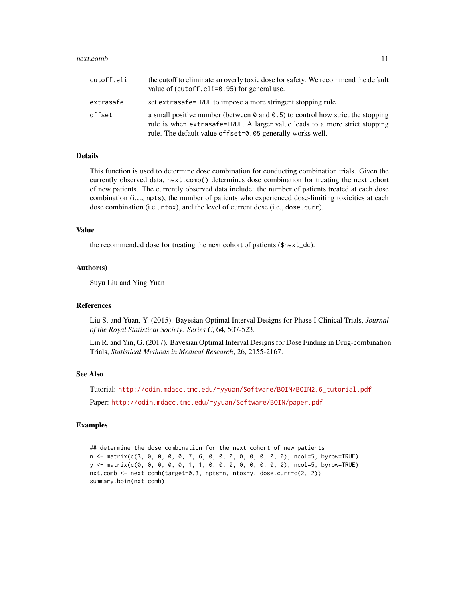#### next.comb 11

| cutoff.eli | the cutoff to eliminate an overly toxic dose for safety. We recommend the default<br>value of (cutoff.eli=0.95) for general use.                                                                                                           |
|------------|--------------------------------------------------------------------------------------------------------------------------------------------------------------------------------------------------------------------------------------------|
| extrasafe  | set extrasafe=TRUE to impose a more stringent stopping rule                                                                                                                                                                                |
| offset     | a small positive number (between $\theta$ and $\theta$ .5) to control how strict the stopping<br>rule is when extrasafe=TRUE. A larger value leads to a more strict stopping<br>rule. The default value of fset=0.05 generally works well. |

#### Details

This function is used to determine dose combination for conducting combination trials. Given the currently observed data, next.comb() determines dose combination for treating the next cohort of new patients. The currently observed data include: the number of patients treated at each dose combination (i.e., npts), the number of patients who experienced dose-limiting toxicities at each dose combination (i.e., ntox), and the level of current dose (i.e., dose.curr).

# Value

the recommended dose for treating the next cohort of patients (\$next\_dc).

# Author(s)

Suyu Liu and Ying Yuan

#### References

Liu S. and Yuan, Y. (2015). Bayesian Optimal Interval Designs for Phase I Clinical Trials, *Journal of the Royal Statistical Society: Series C*, 64, 507-523.

Lin R. and Yin, G. (2017). Bayesian Optimal Interval Designs for Dose Finding in Drug-combination Trials, *Statistical Methods in Medical Research*, 26, 2155-2167.

# See Also

Tutorial: [http://odin.mdacc.tmc.edu/~yyuan/Software/BOIN/BOIN2.6\\_tutorial.pdf](http://odin.mdacc.tmc.edu/~yyuan/Software/BOIN/BOIN2.6_tutorial.pdf)

Paper: <http://odin.mdacc.tmc.edu/~yyuan/Software/BOIN/paper.pdf>

#### Examples

## determine the dose combination for the next cohort of new patients n <- matrix(c(3, 0, 0, 0, 0, 7, 6, 0, 0, 0, 0, 0, 0, 0, 0), ncol=5, byrow=TRUE) y <- matrix(c(0, 0, 0, 0, 0, 1, 1, 0, 0, 0, 0, 0, 0, 0, 0), ncol=5, byrow=TRUE) nxt.comb <- next.comb(target=0.3, npts=n, ntox=y, dose.curr=c(2, 2)) summary.boin(nxt.comb)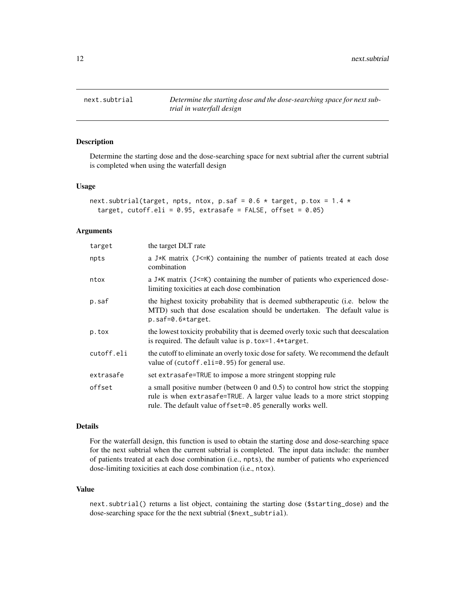<span id="page-11-0"></span>

# Description

Determine the starting dose and the dose-searching space for next subtrial after the current subtrial is completed when using the waterfall design

#### Usage

```
next.subtrial(target, npts, ntox, p.saf = 0.6 \times target, p.tox = 1.4 \timestarget, cutoff.eli = 0.95, extrasafe = FALSE, offset = 0.05)
```
# Arguments

| target     | the target DLT rate                                                                                                                                                                                                        |
|------------|----------------------------------------------------------------------------------------------------------------------------------------------------------------------------------------------------------------------------|
| npts       | a J*K matrix (J<=K) containing the number of patients treated at each dose<br>combination                                                                                                                                  |
| ntox       | a J*K matrix $(J \le K)$ containing the number of patients who experienced dose-<br>limiting toxicities at each dose combination                                                                                           |
| p.saf      | the highest toxicity probability that is deemed subtherapeutic (i.e. below the<br>MTD) such that dose escalation should be undertaken. The default value is<br>$p.saf=0.6*target.$                                         |
| p.tox      | the lowest toxicity probability that is deemed overly toxic such that deescalation<br>is required. The default value is $p.$ tox=1.4 $\star$ target.                                                                       |
| cutoff.eli | the cutoff to eliminate an overly toxic dose for safety. We recommend the default<br>value of $(cutoff.eli=0.95)$ for general use.                                                                                         |
| extrasafe  | set extrasafe=TRUE to impose a more stringent stopping rule                                                                                                                                                                |
| offset     | a small positive number (between 0 and 0.5) to control how strict the stopping<br>rule is when extrasafe=TRUE. A larger value leads to a more strict stopping<br>rule. The default value offset=0.05 generally works well. |

# Details

For the waterfall design, this function is used to obtain the starting dose and dose-searching space for the next subtrial when the current subtrial is completed. The input data include: the number of patients treated at each dose combination (i.e., npts), the number of patients who experienced dose-limiting toxicities at each dose combination (i.e., ntox).

# Value

next.subtrial() returns a list object, containing the starting dose (\$starting\_dose) and the dose-searching space for the the next subtrial (\$next\_subtrial).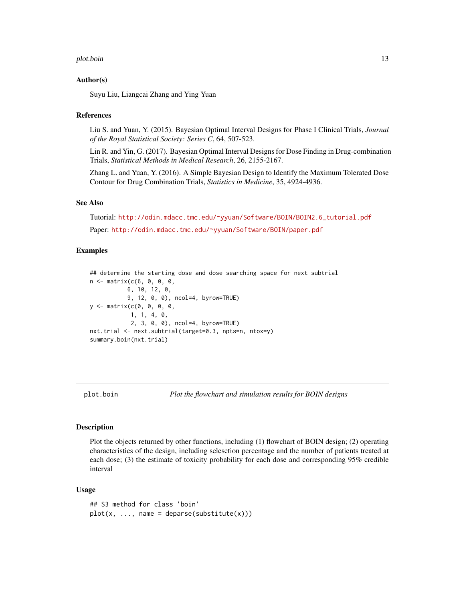#### <span id="page-12-0"></span>plot.boin 13

#### Author(s)

Suyu Liu, Liangcai Zhang and Ying Yuan

#### References

Liu S. and Yuan, Y. (2015). Bayesian Optimal Interval Designs for Phase I Clinical Trials, *Journal of the Royal Statistical Society: Series C*, 64, 507-523.

Lin R. and Yin, G. (2017). Bayesian Optimal Interval Designs for Dose Finding in Drug-combination Trials, *Statistical Methods in Medical Research*, 26, 2155-2167.

Zhang L. and Yuan, Y. (2016). A Simple Bayesian Design to Identify the Maximum Tolerated Dose Contour for Drug Combination Trials, *Statistics in Medicine*, 35, 4924-4936.

#### See Also

Tutorial: [http://odin.mdacc.tmc.edu/~yyuan/Software/BOIN/BOIN2.6\\_tutorial.pdf](http://odin.mdacc.tmc.edu/~yyuan/Software/BOIN/BOIN2.6_tutorial.pdf)

Paper: <http://odin.mdacc.tmc.edu/~yyuan/Software/BOIN/paper.pdf>

### Examples

```
## determine the starting dose and dose searching space for next subtrial
n <- matrix(c(6, 0, 0, 0,
           6, 10, 12, 0,
           9, 12, 0, 0), ncol=4, byrow=TRUE)
y <- matrix(c(0, 0, 0, 0,
            1, 1, 4, 0,
            2, 3, 0, 0), ncol=4, byrow=TRUE)
nxt.trial <- next.subtrial(target=0.3, npts=n, ntox=y)
summary.boin(nxt.trial)
```
plot.boin *Plot the flowchart and simulation results for BOIN designs*

#### Description

Plot the objects returned by other functions, including (1) flowchart of BOIN design; (2) operating characteristics of the design, including selesction percentage and the number of patients treated at each dose; (3) the estimate of toxicity probability for each dose and corresponding 95% credible interval

#### Usage

```
## S3 method for class 'boin'
plot(x, ..., name = deparse(substitute(x)))
```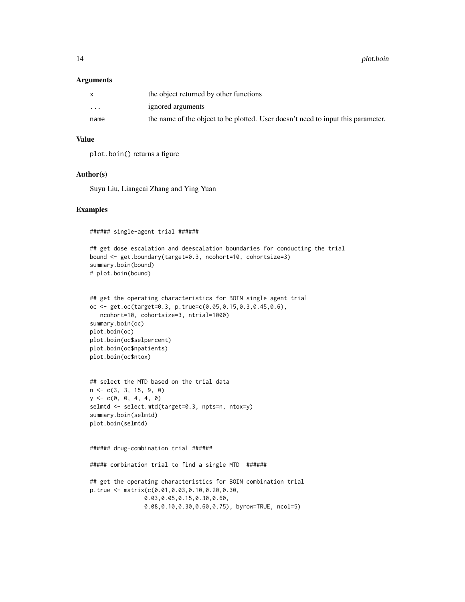#### **Arguments**

|                         | the object returned by other functions                                           |
|-------------------------|----------------------------------------------------------------------------------|
| $\cdot$ $\cdot$ $\cdot$ | ignored arguments                                                                |
| name                    | the name of the object to be plotted. User doesn't need to input this parameter. |

# Value

plot.boin() returns a figure

### Author(s)

Suyu Liu, Liangcai Zhang and Ying Yuan

#### Examples

###### single-agent trial ######

```
## get dose escalation and deescalation boundaries for conducting the trial
bound <- get.boundary(target=0.3, ncohort=10, cohortsize=3)
summary.boin(bound)
# plot.boin(bound)
```

```
## get the operating characteristics for BOIN single agent trial
oc <- get.oc(target=0.3, p.true=c(0.05,0.15,0.3,0.45,0.6),
   ncohort=10, cohortsize=3, ntrial=1000)
summary.boin(oc)
plot.boin(oc)
plot.boin(oc$selpercent)
plot.boin(oc$npatients)
plot.boin(oc$ntox)
```

```
## select the MTD based on the trial data
n <- c(3, 3, 15, 9, 0)
y \leq -c(0, 0, 4, 4, 0)selmtd <- select.mtd(target=0.3, npts=n, ntox=y)
summary.boin(selmtd)
plot.boin(selmtd)
```

```
###### drug-combination trial ######
##### combination trial to find a single MTD ######
## get the operating characteristics for BOIN combination trial
p.true <- matrix(c(0.01,0.03,0.10,0.20,0.30,
               0.03,0.05,0.15,0.30,0.60,
               0.08,0.10,0.30,0.60,0.75), byrow=TRUE, ncol=5)
```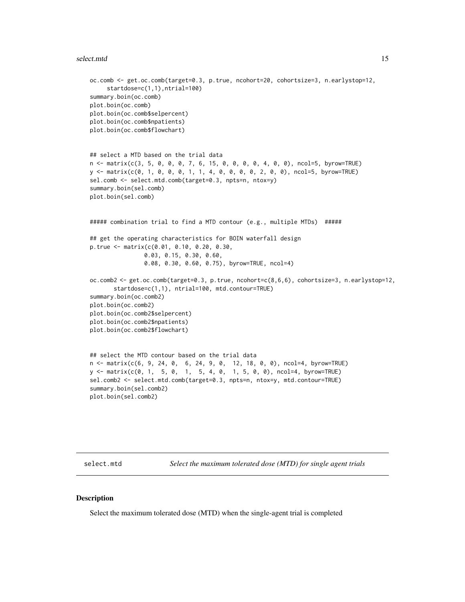#### <span id="page-14-0"></span>select.mtd 15

```
oc.comb <- get.oc.comb(target=0.3, p.true, ncohort=20, cohortsize=3, n.earlystop=12,
     startdose=c(1,1),ntrial=100)
summary.boin(oc.comb)
plot.boin(oc.comb)
plot.boin(oc.comb$selpercent)
plot.boin(oc.comb$npatients)
plot.boin(oc.comb$flowchart)
## select a MTD based on the trial data
n <- matrix(c(3, 5, 0, 0, 0, 7, 6, 15, 0, 0, 0, 0, 4, 0, 0), ncol=5, byrow=TRUE)
y <- matrix(c(0, 1, 0, 0, 0, 1, 1, 4, 0, 0, 0, 0, 2, 0, 0), ncol=5, byrow=TRUE)
sel.comb <- select.mtd.comb(target=0.3, npts=n, ntox=y)
summary.boin(sel.comb)
plot.boin(sel.comb)
##### combination trial to find a MTD contour (e.g., multiple MTDs) #####
## get the operating characteristics for BOIN waterfall design
p.true <- matrix(c(0.01, 0.10, 0.20, 0.30,
                0.03, 0.15, 0.30, 0.60,
                0.08, 0.30, 0.60, 0.75), byrow=TRUE, ncol=4)
oc.comb2 <- get.oc.comb(target=0.3, p.true, ncohort=c(8,6,6), cohortsize=3, n.earlystop=12,
      startdose=c(1,1), ntrial=100, mtd.contour=TRUE)
summary.boin(oc.comb2)
plot.boin(oc.comb2)
plot.boin(oc.comb2$selpercent)
plot.boin(oc.comb2$npatients)
plot.boin(oc.comb2$flowchart)
## select the MTD contour based on the trial data
n <- matrix(c(6, 9, 24, 0, 6, 24, 9, 0, 12, 18, 0, 0), ncol=4, byrow=TRUE)
y <- matrix(c(0, 1, 5, 0, 1, 5, 4, 0, 1, 5, 0, 0), ncol=4, byrow=TRUE)
sel.comb2 <- select.mtd.comb(target=0.3, npts=n, ntox=y, mtd.contour=TRUE)
summary.boin(sel.comb2)
plot.boin(sel.comb2)
```
select.mtd *Select the maximum tolerated dose (MTD) for single agent trials*

# Description

Select the maximum tolerated dose (MTD) when the single-agent trial is completed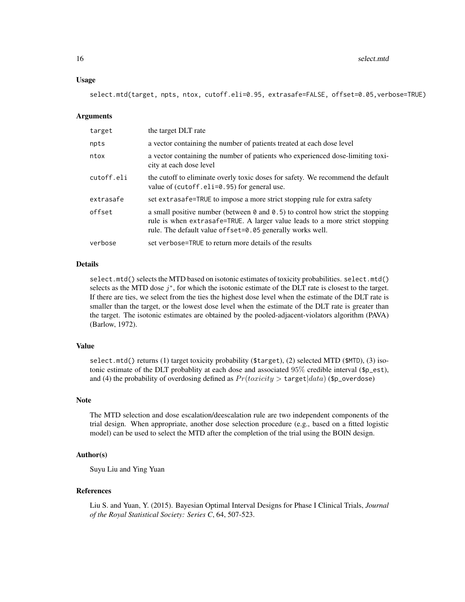#### Usage

select.mtd(target, npts, ntox, cutoff.eli=0.95, extrasafe=FALSE, offset=0.05,verbose=TRUE)

#### Arguments

| target     | the target DLT rate                                                                                                                                                                                                                        |
|------------|--------------------------------------------------------------------------------------------------------------------------------------------------------------------------------------------------------------------------------------------|
| npts       | a vector containing the number of patients treated at each dose level                                                                                                                                                                      |
| ntox       | a vector containing the number of patients who experienced dose-limiting toxi-<br>city at each dose level                                                                                                                                  |
| cutoff.eli | the cutoff to eliminate overly toxic doses for safety. We recommend the default<br>value of $(cutoff.eli=0.95)$ for general use.                                                                                                           |
| extrasafe  | set extrasafe=TRUE to impose a more strict stopping rule for extra safety                                                                                                                                                                  |
| offset     | a small positive number (between $\theta$ and $\theta$ .5) to control how strict the stopping<br>rule is when extrasafe=TRUE. A larger value leads to a more strict stopping<br>rule. The default value of fset=0.05 generally works well. |
| verbose    | set verbose=TRUE to return more details of the results                                                                                                                                                                                     |

# Details

select.mtd() selects the MTD based on isotonic estimates of toxicity probabilities. select.mtd() selects as the MTD dose  $j^*$ , for which the isotonic estimate of the DLT rate is closest to the target. If there are ties, we select from the ties the highest dose level when the estimate of the DLT rate is smaller than the target, or the lowest dose level when the estimate of the DLT rate is greater than the target. The isotonic estimates are obtained by the pooled-adjacent-violators algorithm (PAVA) (Barlow, 1972).

#### Value

select.mtd() returns (1) target toxicity probability (\$target), (2) selected MTD (\$MTD), (3) isotonic estimate of the DLT probablity at each dose and associated 95% credible interval (\$p\_est), and (4) the probability of overdosing defined as  $Pr(toricity > \text{target}|data)$  (\$p\_overdose)

# Note

The MTD selection and dose escalation/deescalation rule are two independent components of the trial design. When appropriate, another dose selection procedure (e.g., based on a fitted logistic model) can be used to select the MTD after the completion of the trial using the BOIN design.

# Author(s)

Suyu Liu and Ying Yuan

#### References

Liu S. and Yuan, Y. (2015). Bayesian Optimal Interval Designs for Phase I Clinical Trials, *Journal of the Royal Statistical Society: Series C*, 64, 507-523.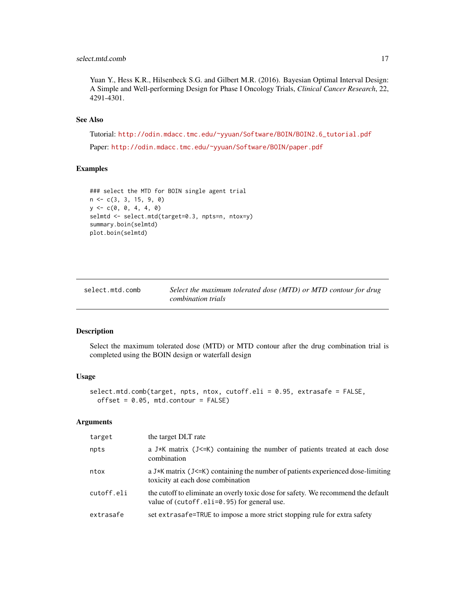# <span id="page-16-0"></span>select.mtd.comb 17

Yuan Y., Hess K.R., Hilsenbeck S.G. and Gilbert M.R. (2016). Bayesian Optimal Interval Design: A Simple and Well-performing Design for Phase I Oncology Trials, *Clinical Cancer Research*, 22, 4291-4301.

# See Also

Tutorial: [http://odin.mdacc.tmc.edu/~yyuan/Software/BOIN/BOIN2.6\\_tutorial.pdf](http://odin.mdacc.tmc.edu/~yyuan/Software/BOIN/BOIN2.6_tutorial.pdf) Paper: <http://odin.mdacc.tmc.edu/~yyuan/Software/BOIN/paper.pdf>

#### Examples

```
### select the MTD for BOIN single agent trial
n <- c(3, 3, 15, 9, 0)
y \leq -c(0, 0, 4, 4, 0)selmtd <- select.mtd(target=0.3, npts=n, ntox=y)
summary.boin(selmtd)
plot.boin(selmtd)
```

| select.mtd.comb | Select the maximum tolerated dose (MTD) or MTD contour for drug |
|-----------------|-----------------------------------------------------------------|
|                 | combination trials                                              |

# Description

Select the maximum tolerated dose (MTD) or MTD contour after the drug combination trial is completed using the BOIN design or waterfall design

# Usage

```
select.mtd.comb(target, npts, ntox, cutoff.eli = 0.95, extrasafe = FALSE,
 offset = 0.05, mtd.contour = FALSE)
```

| target     | the target DLT rate                                                                                                              |
|------------|----------------------------------------------------------------------------------------------------------------------------------|
| npts       | a J*K matrix ( $J \le K$ ) containing the number of patients treated at each dose<br>combination                                 |
| ntox       | a J*K matrix (J<=K) containing the number of patients experienced dose-limiting<br>toxicity at each dose combination             |
| cutoff.eli | the cutoff to eliminate an overly toxic dose for safety. We recommend the default<br>value of (cutoff.eli=0.95) for general use. |
| extrasafe  | set extrasafe=TRUE to impose a more strict stopping rule for extra safety                                                        |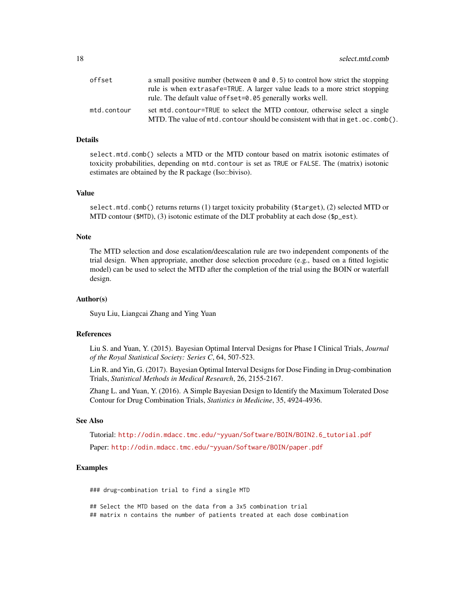| offset      | a small positive number (between $\theta$ and $\theta$ .5) to control how strict the stopping |
|-------------|-----------------------------------------------------------------------------------------------|
|             | rule is when extrasafe=TRUE. A larger value leads to a more strict stopping                   |
|             | rule. The default value of fset=0.05 generally works well.                                    |
| mtd.contour | set mtd.contour=TRUE to select the MTD contour, otherwise select a single                     |
|             | MTD. The value of $mtd$ , contour should be consistent with that in get, oc. comb().          |

#### Details

select.mtd.comb() selects a MTD or the MTD contour based on matrix isotonic estimates of toxicity probabilities, depending on mtd.contour is set as TRUE or FALSE. The (matrix) isotonic estimates are obtained by the R package (Iso::biviso).

# Value

select.mtd.comb() returns returns (1) target toxicity probability (\$target), (2) selected MTD or MTD contour ( $MTD$ ), (3) isotonic estimate of the DLT probablity at each dose ( $p_{est}$ ).

#### Note

The MTD selection and dose escalation/deescalation rule are two independent components of the trial design. When appropriate, another dose selection procedure (e.g., based on a fitted logistic model) can be used to select the MTD after the completion of the trial using the BOIN or waterfall design.

#### Author(s)

Suyu Liu, Liangcai Zhang and Ying Yuan

#### References

Liu S. and Yuan, Y. (2015). Bayesian Optimal Interval Designs for Phase I Clinical Trials, *Journal of the Royal Statistical Society: Series C*, 64, 507-523.

Lin R. and Yin, G. (2017). Bayesian Optimal Interval Designs for Dose Finding in Drug-combination Trials, *Statistical Methods in Medical Research*, 26, 2155-2167.

Zhang L. and Yuan, Y. (2016). A Simple Bayesian Design to Identify the Maximum Tolerated Dose Contour for Drug Combination Trials, *Statistics in Medicine*, 35, 4924-4936.

#### See Also

Tutorial: [http://odin.mdacc.tmc.edu/~yyuan/Software/BOIN/BOIN2.6\\_tutorial.pdf](http://odin.mdacc.tmc.edu/~yyuan/Software/BOIN/BOIN2.6_tutorial.pdf)

Paper: <http://odin.mdacc.tmc.edu/~yyuan/Software/BOIN/paper.pdf>

# Examples

### drug-combination trial to find a single MTD

## Select the MTD based on the data from a 3x5 combination trial ## matrix n contains the number of patients treated at each dose combination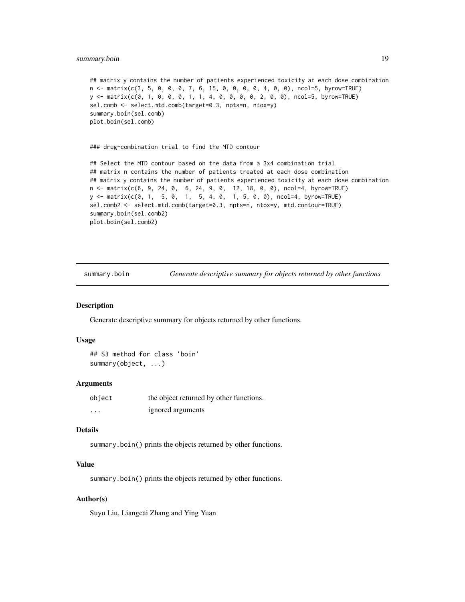### <span id="page-18-0"></span>summary.boin 19

```
## matrix y contains the number of patients experienced toxicity at each dose combination
n <- matrix(c(3, 5, 0, 0, 0, 7, 6, 15, 0, 0, 0, 0, 4, 0, 0), ncol=5, byrow=TRUE)
y <- matrix(c(0, 1, 0, 0, 0, 1, 1, 4, 0, 0, 0, 0, 2, 0, 0), ncol=5, byrow=TRUE)
sel.comb <- select.mtd.comb(target=0.3, npts=n, ntox=y)
summary.boin(sel.comb)
plot.boin(sel.comb)
```
### drug-combination trial to find the MTD contour

```
## Select the MTD contour based on the data from a 3x4 combination trial
## matrix n contains the number of patients treated at each dose combination
## matrix y contains the number of patients experienced toxicity at each dose combination
n <- matrix(c(6, 9, 24, 0, 6, 24, 9, 0, 12, 18, 0, 0), ncol=4, byrow=TRUE)
y <- matrix(c(0, 1, 5, 0, 1, 5, 4, 0, 1, 5, 0, 0), ncol=4, byrow=TRUE)
sel.comb2 <- select.mtd.comb(target=0.3, npts=n, ntox=y, mtd.contour=TRUE)
summary.boin(sel.comb2)
plot.boin(sel.comb2)
```
summary.boin *Generate descriptive summary for objects returned by other functions*

#### Description

Generate descriptive summary for objects returned by other functions.

#### Usage

```
## S3 method for class 'boin'
summary(object, ...)
```
#### Arguments

| object   | the object returned by other functions. |
|----------|-----------------------------------------|
| $\cdots$ | ignored arguments                       |

# Details

summary.boin() prints the objects returned by other functions.

# Value

summary.boin() prints the objects returned by other functions.

#### Author(s)

Suyu Liu, Liangcai Zhang and Ying Yuan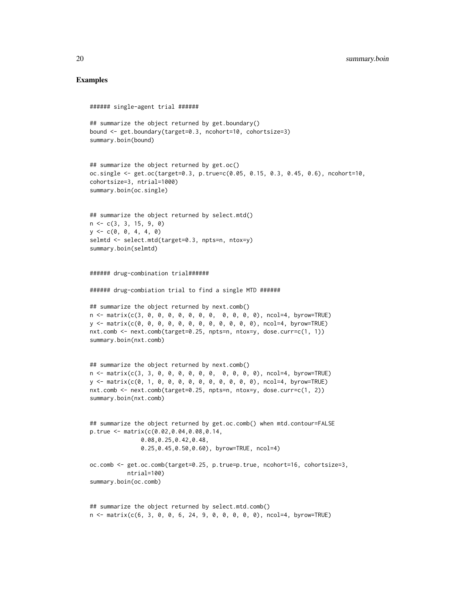# Examples

```
###### single-agent trial ######
## summarize the object returned by get.boundary()
bound <- get.boundary(target=0.3, ncohort=10, cohortsize=3)
summary.boin(bound)
## summarize the object returned by get.oc()
oc.single <- get.oc(target=0.3, p.true=c(0.05, 0.15, 0.3, 0.45, 0.6), ncohort=10,
cohortsize=3, ntrial=1000)
summary.boin(oc.single)
## summarize the object returned by select.mtd()
n <- c(3, 3, 15, 9, 0)
y \leq -c(0, 0, 4, 4, 0)selmtd <- select.mtd(target=0.3, npts=n, ntox=y)
summary.boin(selmtd)
###### drug-combination trial######
###### drug-combiation trial to find a single MTD ######
## summarize the object returned by next.comb()
n <- matrix(c(3, 0, 0, 0, 0, 0, 0, 0, 0, 0, 0, 0), ncol=4, byrow=TRUE)
y <- matrix(c(0, 0, 0, 0, 0, 0, 0, 0, 0, 0, 0, 0), ncol=4, byrow=TRUE)
nxt.comb <- next.comb(target=0.25, npts=n, ntox=y, dose.curr=c(1, 1))
summary.boin(nxt.comb)
## summarize the object returned by next.comb()
n <- matrix(c(3, 3, 0, 0, 0, 0, 0, 0, 0, 0, 0, 0), ncol=4, byrow=TRUE)
y <- matrix(c(0, 1, 0, 0, 0, 0, 0, 0, 0, 0, 0, 0), ncol=4, byrow=TRUE)
nxt.comb <- next.comb(target=0.25, npts=n, ntox=y, dose.curr=c(1, 2))
summary.boin(nxt.comb)
## summarize the object returned by get.oc.comb() when mtd.contour=FALSE
p.true <- matrix(c(0.02,0.04,0.08,0.14,
               0.08,0.25,0.42,0.48,
               0.25,0.45,0.50,0.60), byrow=TRUE, ncol=4)
oc.comb <- get.oc.comb(target=0.25, p.true=p.true, ncohort=16, cohortsize=3,
           ntrial=100)
summary.boin(oc.comb)
## summarize the object returned by select.mtd.comb()
```
n <- matrix(c(6, 3, 0, 0, 6, 24, 9, 0, 0, 0, 0, 0), ncol=4, byrow=TRUE)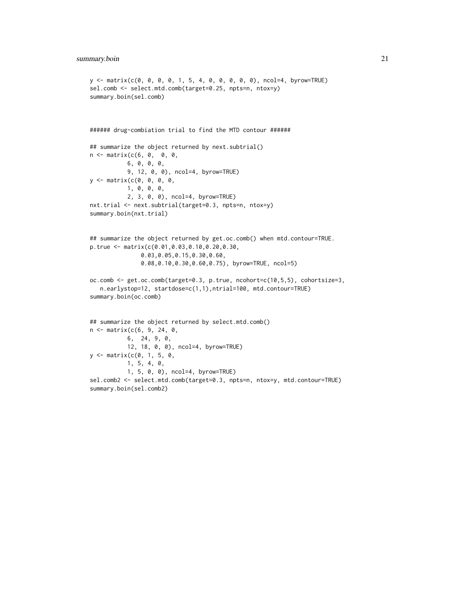```
y <- matrix(c(0, 0, 0, 0, 1, 5, 4, 0, 0, 0, 0, 0), ncol=4, byrow=TRUE)
sel.comb <- select.mtd.comb(target=0.25, npts=n, ntox=y)
summary.boin(sel.comb)
###### drug-combiation trial to find the MTD contour ######
## summarize the object returned by next.subtrial()
n <- matrix(c(6, 0, 0, 0,
           6, 0, 0, 0,
           9, 12, 0, 0), ncol=4, byrow=TRUE)
y <- matrix(c(0, 0, 0, 0,
           1, 0, 0, 0,
           2, 3, 0, 0), ncol=4, byrow=TRUE)
nxt.trial <- next.subtrial(target=0.3, npts=n, ntox=y)
summary.boin(nxt.trial)
## summarize the object returned by get.oc.comb() when mtd.contour=TRUE.
p.true <- matrix(c(0.01,0.03,0.10,0.20,0.30,
               0.03,0.05,0.15,0.30,0.60,
               0.08,0.10,0.30,0.60,0.75), byrow=TRUE, ncol=5)
oc.comb <- get.oc.comb(target=0.3, p.true, ncohort=c(10,5,5), cohortsize=3,
   n.earlystop=12, startdose=c(1,1),ntrial=100, mtd.contour=TRUE)
summary.boin(oc.comb)
## summarize the object returned by select.mtd.comb()
n <- matrix(c(6, 9, 24, 0,
           6, 24, 9, 0,
           12, 18, 0, 0), ncol=4, byrow=TRUE)
y <- matrix(c(0, 1, 5, 0,
           1, 5, 4, 0,
           1, 5, 0, 0), ncol=4, byrow=TRUE)
sel.comb2 <- select.mtd.comb(target=0.3, npts=n, ntox=y, mtd.contour=TRUE)
summary.boin(sel.comb2)
```